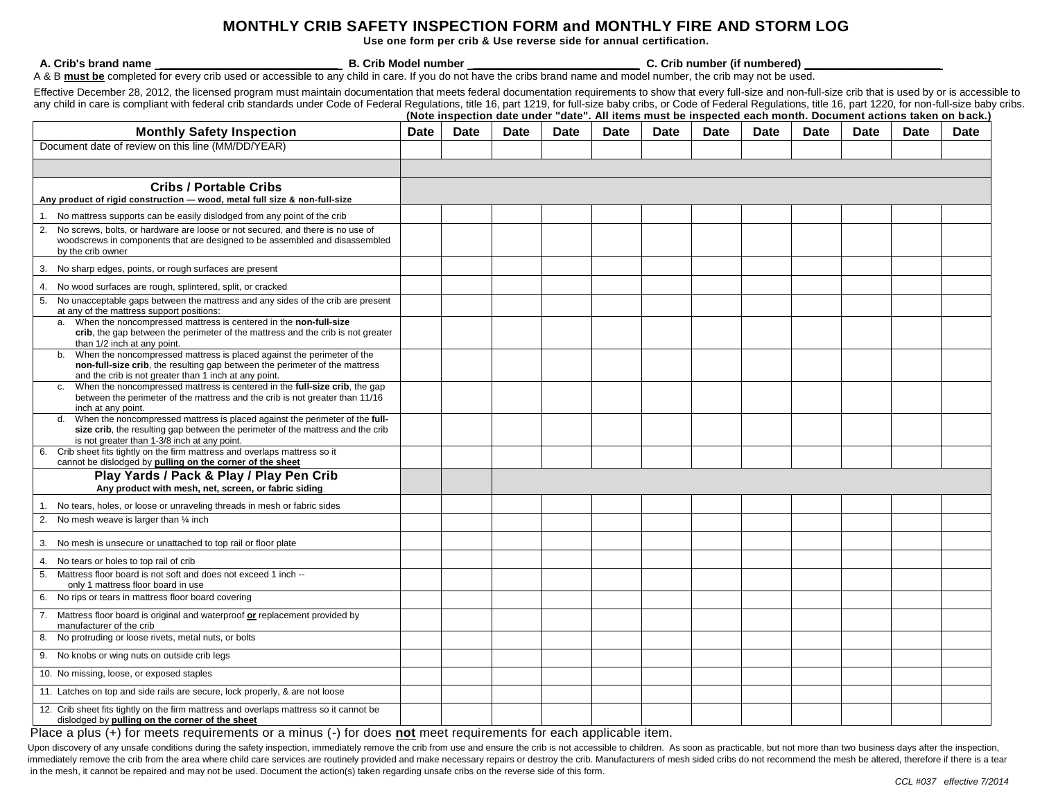## **MONTHLY CRIB SAFETY INSPECTION FORM and MONTHLY FIRE AND STORM LOG**

**Use one form per crib & Use reverse side for annual certification.** 

**A. Crib's brand name \_\_\_\_\_\_\_\_\_\_\_\_\_\_\_\_\_\_\_\_\_\_\_\_\_\_\_\_\_ B. Crib Model number \_\_\_\_\_\_\_\_\_\_\_\_\_\_\_\_\_\_\_\_\_\_\_\_\_\_\_ C. Crib number (if numbered) \_\_\_\_\_\_\_\_\_\_\_\_\_\_\_\_\_\_\_\_\_\_**

A & B **must be** completed for every crib used or accessible to any child in care. If you do not have the cribs brand name and model number, the crib may not be used.

Effective December 28, 2012, the licensed program must maintain documentation that meets federal documentation requirements to show that every full-size and non-full-size crib that is used by or is accessible to any child in care is compliant with federal crib standards under Code of Federal Regulations, title 16, part 1219, for full-size baby cribs. The standards under Code of Federal Regulations, title 16, part 1220, for non-ful **(Note inspection date under "date". All items must be inspected each month. Document actions taken on b ack.)** 

| <b>Monthly Safety Inspection</b>                                                                                                                                                                                               | <b>Date</b> | <b>Date</b> | <b>Date</b> | <b>Date</b> | <b>Date</b> | <b>Date</b> | <b>Date</b> | <b>Date</b> | <b>Date</b> | <b>Date</b> | <b>Date</b> | <b>Date</b> |
|--------------------------------------------------------------------------------------------------------------------------------------------------------------------------------------------------------------------------------|-------------|-------------|-------------|-------------|-------------|-------------|-------------|-------------|-------------|-------------|-------------|-------------|
| Document date of review on this line (MM/DD/YEAR)                                                                                                                                                                              |             |             |             |             |             |             |             |             |             |             |             |             |
|                                                                                                                                                                                                                                |             |             |             |             |             |             |             |             |             |             |             |             |
| <b>Cribs / Portable Cribs</b>                                                                                                                                                                                                  |             |             |             |             |             |             |             |             |             |             |             |             |
| Any product of rigid construction - wood, metal full size & non-full-size                                                                                                                                                      |             |             |             |             |             |             |             |             |             |             |             |             |
| 1. No mattress supports can be easily dislodged from any point of the crib                                                                                                                                                     |             |             |             |             |             |             |             |             |             |             |             |             |
| 2.<br>No screws, bolts, or hardware are loose or not secured, and there is no use of<br>woodscrews in components that are designed to be assembled and disassembled<br>by the crib owner                                       |             |             |             |             |             |             |             |             |             |             |             |             |
| 3. No sharp edges, points, or rough surfaces are present                                                                                                                                                                       |             |             |             |             |             |             |             |             |             |             |             |             |
| No wood surfaces are rough, splintered, split, or cracked<br>4.                                                                                                                                                                |             |             |             |             |             |             |             |             |             |             |             |             |
| 5. No unacceptable gaps between the mattress and any sides of the crib are present<br>at any of the mattress support positions:                                                                                                |             |             |             |             |             |             |             |             |             |             |             |             |
| When the noncompressed mattress is centered in the non-full-size<br>a.<br>crib, the gap between the perimeter of the mattress and the crib is not greater<br>than 1/2 inch at any point.                                       |             |             |             |             |             |             |             |             |             |             |             |             |
| When the noncompressed mattress is placed against the perimeter of the<br>b.<br>non-full-size crib, the resulting gap between the perimeter of the mattress<br>and the crib is not greater than 1 inch at any point.           |             |             |             |             |             |             |             |             |             |             |             |             |
| When the noncompressed mattress is centered in the full-size crib, the gap<br>C <sub>1</sub><br>between the perimeter of the mattress and the crib is not greater than 11/16<br>inch at any point.                             |             |             |             |             |             |             |             |             |             |             |             |             |
| When the noncompressed mattress is placed against the perimeter of the full-<br>$d_{\cdot}$<br>size crib, the resulting gap between the perimeter of the mattress and the crib<br>is not greater than 1-3/8 inch at any point. |             |             |             |             |             |             |             |             |             |             |             |             |
| Crib sheet fits tightly on the firm mattress and overlaps mattress so it<br>6.<br>cannot be dislodged by pulling on the corner of the sheet                                                                                    |             |             |             |             |             |             |             |             |             |             |             |             |
| Play Yards / Pack & Play / Play Pen Crib<br>Any product with mesh, net, screen, or fabric siding                                                                                                                               |             |             |             |             |             |             |             |             |             |             |             |             |
| No tears, holes, or loose or unraveling threads in mesh or fabric sides                                                                                                                                                        |             |             |             |             |             |             |             |             |             |             |             |             |
| 2. No mesh weave is larger than 1/4 inch                                                                                                                                                                                       |             |             |             |             |             |             |             |             |             |             |             |             |
|                                                                                                                                                                                                                                |             |             |             |             |             |             |             |             |             |             |             |             |
| No mesh is unsecure or unattached to top rail or floor plate<br>3.                                                                                                                                                             |             |             |             |             |             |             |             |             |             |             |             |             |
| 4. No tears or holes to top rail of crib                                                                                                                                                                                       |             |             |             |             |             |             |             |             |             |             |             |             |
| Mattress floor board is not soft and does not exceed 1 inch --<br>5.<br>only 1 mattress floor board in use                                                                                                                     |             |             |             |             |             |             |             |             |             |             |             |             |
| No rips or tears in mattress floor board covering<br>6.                                                                                                                                                                        |             |             |             |             |             |             |             |             |             |             |             |             |
| 7. Mattress floor board is original and waterproof or replacement provided by<br>manufacturer of the crib                                                                                                                      |             |             |             |             |             |             |             |             |             |             |             |             |
| No protruding or loose rivets, metal nuts, or bolts<br>8.                                                                                                                                                                      |             |             |             |             |             |             |             |             |             |             |             |             |
| 9. No knobs or wing nuts on outside crib legs                                                                                                                                                                                  |             |             |             |             |             |             |             |             |             |             |             |             |
| 10. No missing, loose, or exposed staples                                                                                                                                                                                      |             |             |             |             |             |             |             |             |             |             |             |             |
| 11. Latches on top and side rails are secure, lock properly, & are not loose                                                                                                                                                   |             |             |             |             |             |             |             |             |             |             |             |             |
| 12. Crib sheet fits tightly on the firm mattress and overlaps mattress so it cannot be<br>dislodged by pulling on the corner of the sheet                                                                                      |             |             |             |             |             |             |             |             |             |             |             |             |

Place a plus (+) for meets requirements or a minus (-) for does **not** meet requirements for each applicable item.

Upon discovery of any unsafe conditions during the safety inspection, immediately remove the crib from use and ensure the crib is not accessible to children. As soon as practicable, but not more than two business days afte immediately remove the crib from the area where child care services are routinely provided and make necessary repairs or destroy the crib. Manufacturers of mesh sided cribs do not recommend the mesh be altered, therefore i in the mesh, it cannot be repaired and may not be used. Document the action(s) taken regarding unsafe cribs on the reverse side of this form.